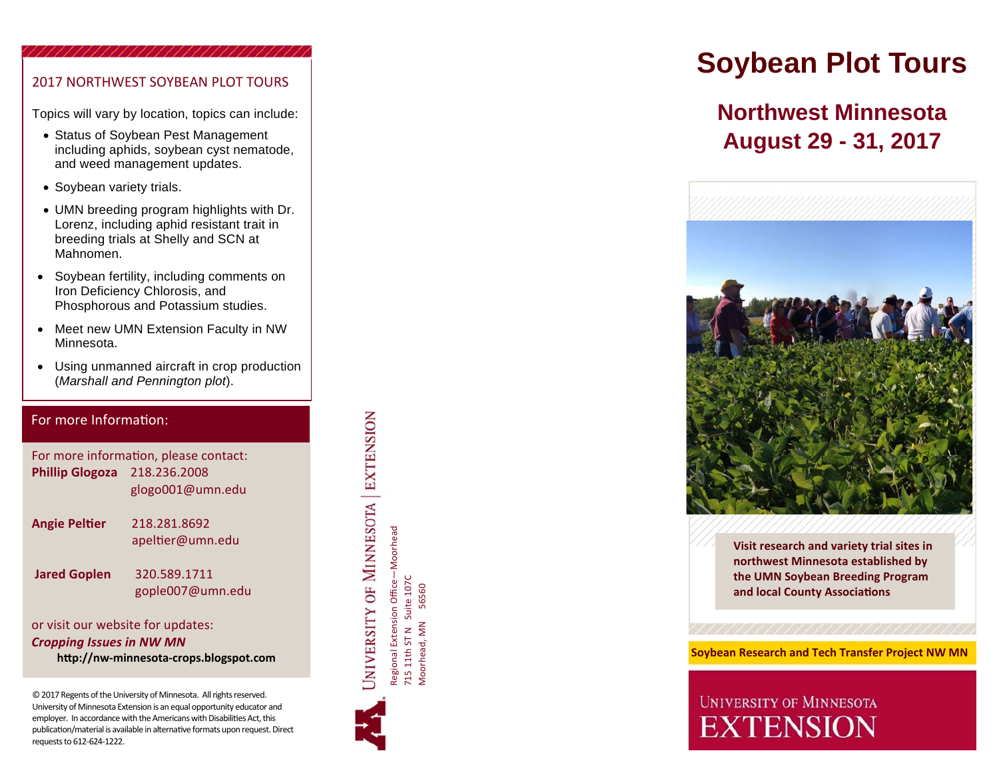### 2017 NORTHWEST SOYBEAN PLOT TOURS

Topics will vary by location, topics can include:

- Status of Soybean Pest Management including aphids, soybean cyst nematode, and weed management updates.
- Soybean variety trials.
- UMN breeding program highlights with Dr. Lorenz, including aphid resistant trait in breeding trials at Shelly and SCN at Mahnomen.
- Soybean fertility, including comments on Iron Deficiency Chlorosis, and Phosphorous and Potassium studies.
- $\bullet$  Meet new UMN Extension Faculty in NW Minnesota.
- Using unmanned aircraft in crop production (*Marshall and Pennington plot*).

#### For more InformaƟon:

For more information, please contact: **Phillip Glogoza** 218.236.2008 glogo001@umn.edu

**Angie Pel**

**Ɵer** 218.281.8692apel Ɵer@umn.edu

**Jared Goplen** 320.589.1711

gople007@umn.edu

or visit our website for updates: *Cropping Issues in NW MN*  **hƩp://nw‐minnesota‐crops.blogspot.com** 

© 2017 Regents of the University of Minnesota. All rights reserved. University of Minnesota Extension is an equal opportunity educator and employer. In accordance with the Americans with Disabilities Act, this publication/material is available in alternative formats upon request. Direct requests to 612‐624‐1222.

JNIVERSITY OF MINNESOTA EXTENSION Regional Extension Office—Moorhead

Regional Extension Office—Moorhead<br>715 11th ST N Suite 107C<br>Moorhead, MN 56560 715 11th ST N Suite 107C Moorhead, MN 56560

# **Soybean Plot Tours**

## **Northwest Minnesota August 29 - 31, 2017**



**Visit research and variety trial sites in northwest Minnesota established by the UMN Soybean Breeding Program and local County Associa Ɵons**

 **Soybean Research and Tech Transfer Project NW MN** 

## **UNIVERSITY OF MINNESOTA EXTENSION**